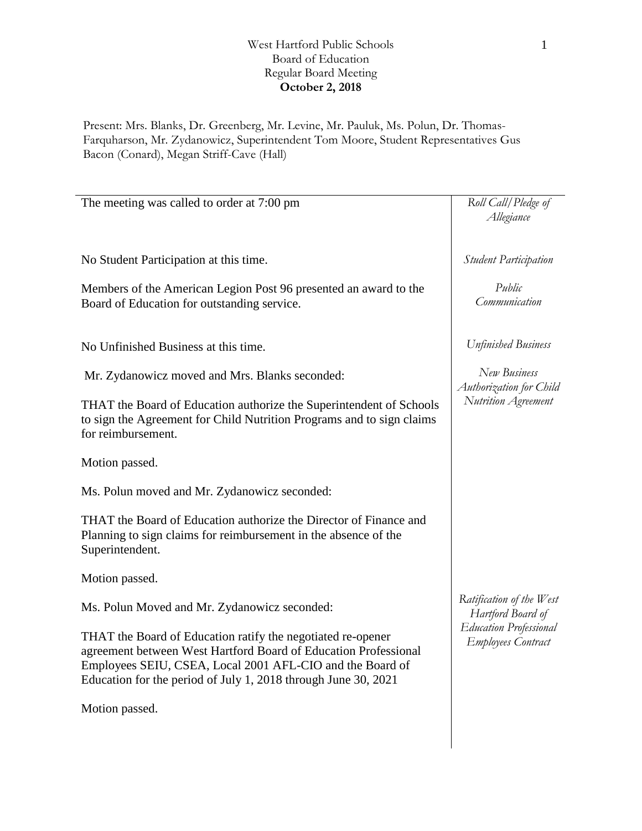## West Hartford Public Schools Board of Education Regular Board Meeting **October 2, 2018**

Present: Mrs. Blanks, Dr. Greenberg, Mr. Levine, Mr. Pauluk, Ms. Polun, Dr. Thomas-Farquharson, Mr. Zydanowicz, Superintendent Tom Moore, Student Representatives Gus Bacon (Conard), Megan Striff-Cave (Hall)

The meeting was called to order at 7:00 pm *Roll Call/Pledge of Allegiance* No Student Participation at this time. Members of the American Legion Post 96 presented an award to the Board of Education for outstanding service. No Unfinished Business at this time. Mr. Zydanowicz moved and Mrs. Blanks seconded: THAT the Board of Education authorize the Superintendent of Schools to sign the Agreement for Child Nutrition Programs and to sign claims for reimbursement. Motion passed. Ms. Polun moved and Mr. Zydanowicz seconded: THAT the Board of Education authorize the Director of Finance and Planning to sign claims for reimbursement in the absence of the Superintendent. Motion passed. Ms. Polun Moved and Mr. Zydanowicz seconded: THAT the Board of Education ratify the negotiated re-opener agreement between West Hartford Board of Education Professional Employees SEIU, CSEA, Local 2001 AFL-CIO and the Board of Education for the period of July 1, 2018 through June 30, 2021 Motion passed. *Student Participation Public Communication Unfinished Business New Business Authorization for Child Nutrition Agreement Ratification of the West Hartford Board of Education Professional Employees Contract*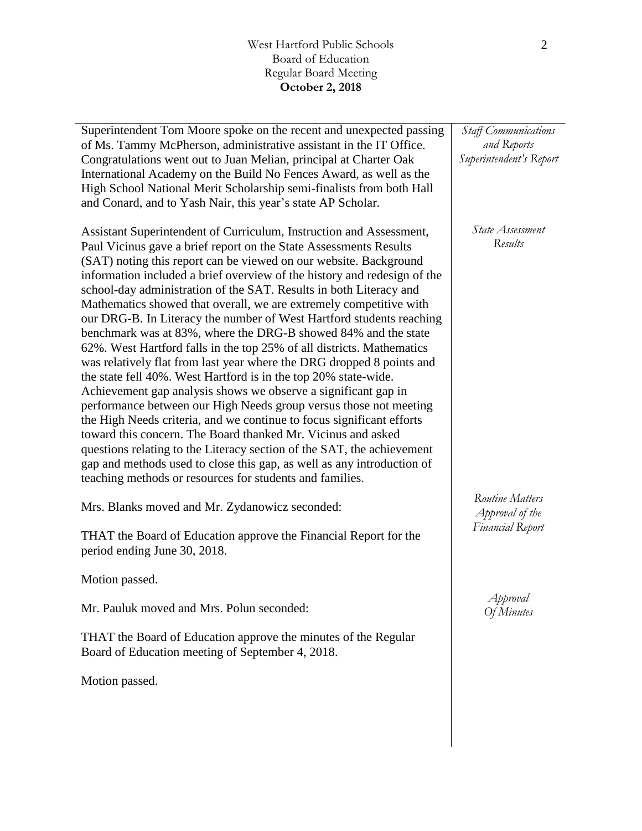## West Hartford Public Schools Board of Education Regular Board Meeting **October 2, 2018**

| Superintendent Tom Moore spoke on the recent and unexpected passing<br>of Ms. Tammy McPherson, administrative assistant in the IT Office.<br>Congratulations went out to Juan Melian, principal at Charter Oak<br>International Academy on the Build No Fences Award, as well as the<br>High School National Merit Scholarship semi-finalists from both Hall<br>and Conard, and to Yash Nair, this year's state AP Scholar.                                                                                                                                                                                                                                                                                                                                                                                                                                                                                                                                                                                                                                                                                                                                                                                                                                                                          | <b>Staff Communications</b><br>and Reports<br>Superintendent's Report |
|------------------------------------------------------------------------------------------------------------------------------------------------------------------------------------------------------------------------------------------------------------------------------------------------------------------------------------------------------------------------------------------------------------------------------------------------------------------------------------------------------------------------------------------------------------------------------------------------------------------------------------------------------------------------------------------------------------------------------------------------------------------------------------------------------------------------------------------------------------------------------------------------------------------------------------------------------------------------------------------------------------------------------------------------------------------------------------------------------------------------------------------------------------------------------------------------------------------------------------------------------------------------------------------------------|-----------------------------------------------------------------------|
| Assistant Superintendent of Curriculum, Instruction and Assessment,<br>Paul Vicinus gave a brief report on the State Assessments Results<br>(SAT) noting this report can be viewed on our website. Background<br>information included a brief overview of the history and redesign of the<br>school-day administration of the SAT. Results in both Literacy and<br>Mathematics showed that overall, we are extremely competitive with<br>our DRG-B. In Literacy the number of West Hartford students reaching<br>benchmark was at 83%, where the DRG-B showed 84% and the state<br>62%. West Hartford falls in the top 25% of all districts. Mathematics<br>was relatively flat from last year where the DRG dropped 8 points and<br>the state fell 40%. West Hartford is in the top 20% state-wide.<br>Achievement gap analysis shows we observe a significant gap in<br>performance between our High Needs group versus those not meeting<br>the High Needs criteria, and we continue to focus significant efforts<br>toward this concern. The Board thanked Mr. Vicinus and asked<br>questions relating to the Literacy section of the SAT, the achievement<br>gap and methods used to close this gap, as well as any introduction of<br>teaching methods or resources for students and families. | State Assessment<br>Results                                           |
| Mrs. Blanks moved and Mr. Zydanowicz seconded:                                                                                                                                                                                                                                                                                                                                                                                                                                                                                                                                                                                                                                                                                                                                                                                                                                                                                                                                                                                                                                                                                                                                                                                                                                                       | Routine Matters<br>Approval of the                                    |
| THAT the Board of Education approve the Financial Report for the<br>period ending June 30, 2018.                                                                                                                                                                                                                                                                                                                                                                                                                                                                                                                                                                                                                                                                                                                                                                                                                                                                                                                                                                                                                                                                                                                                                                                                     | Financial Report                                                      |
| Motion passed.                                                                                                                                                                                                                                                                                                                                                                                                                                                                                                                                                                                                                                                                                                                                                                                                                                                                                                                                                                                                                                                                                                                                                                                                                                                                                       |                                                                       |
| Mr. Pauluk moved and Mrs. Polun seconded:                                                                                                                                                                                                                                                                                                                                                                                                                                                                                                                                                                                                                                                                                                                                                                                                                                                                                                                                                                                                                                                                                                                                                                                                                                                            | Approval<br>Of Minutes                                                |
| THAT the Board of Education approve the minutes of the Regular<br>Board of Education meeting of September 4, 2018.                                                                                                                                                                                                                                                                                                                                                                                                                                                                                                                                                                                                                                                                                                                                                                                                                                                                                                                                                                                                                                                                                                                                                                                   |                                                                       |

Motion passed.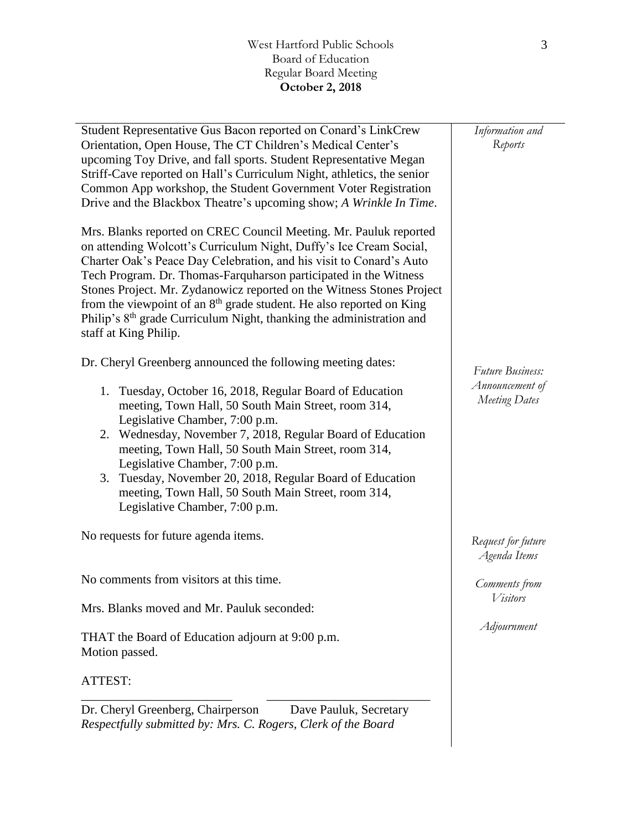| Student Representative Gus Bacon reported on Conard's LinkCrew<br>Orientation, Open House, The CT Children's Medical Center's<br>upcoming Toy Drive, and fall sports. Student Representative Megan<br>Striff-Cave reported on Hall's Curriculum Night, athletics, the senior<br>Common App workshop, the Student Government Voter Registration<br>Drive and the Blackbox Theatre's upcoming show; A Wrinkle In Time.                                                                                                                               | Information and<br>Reports         |
|----------------------------------------------------------------------------------------------------------------------------------------------------------------------------------------------------------------------------------------------------------------------------------------------------------------------------------------------------------------------------------------------------------------------------------------------------------------------------------------------------------------------------------------------------|------------------------------------|
| Mrs. Blanks reported on CREC Council Meeting. Mr. Pauluk reported<br>on attending Wolcott's Curriculum Night, Duffy's Ice Cream Social,<br>Charter Oak's Peace Day Celebration, and his visit to Conard's Auto<br>Tech Program. Dr. Thomas-Farquharson participated in the Witness<br>Stones Project. Mr. Zydanowicz reported on the Witness Stones Project<br>from the viewpoint of an $8th$ grade student. He also reported on King<br>Philip's 8 <sup>th</sup> grade Curriculum Night, thanking the administration and<br>staff at King Philip. |                                    |
| Dr. Cheryl Greenberg announced the following meeting dates:                                                                                                                                                                                                                                                                                                                                                                                                                                                                                        | <b>Future Business:</b>            |
| 1. Tuesday, October 16, 2018, Regular Board of Education<br>meeting, Town Hall, 50 South Main Street, room 314,<br>Legislative Chamber, 7:00 p.m.<br>2. Wednesday, November 7, 2018, Regular Board of Education<br>meeting, Town Hall, 50 South Main Street, room 314,<br>Legislative Chamber, 7:00 p.m.<br>Tuesday, November 20, 2018, Regular Board of Education<br>3.<br>meeting, Town Hall, 50 South Main Street, room 314,<br>Legislative Chamber, 7:00 p.m.                                                                                  | Announcement of<br>Meeting Dates   |
| No requests for future agenda items.                                                                                                                                                                                                                                                                                                                                                                                                                                                                                                               | Request for future<br>Agenda Items |
| No comments from visitors at this time.                                                                                                                                                                                                                                                                                                                                                                                                                                                                                                            | Comments from                      |
| Mrs. Blanks moved and Mr. Pauluk seconded:                                                                                                                                                                                                                                                                                                                                                                                                                                                                                                         | <i>Visitors</i>                    |
| THAT the Board of Education adjourn at 9:00 p.m.<br>Motion passed.                                                                                                                                                                                                                                                                                                                                                                                                                                                                                 | Adjournment                        |
| ATTEST:                                                                                                                                                                                                                                                                                                                                                                                                                                                                                                                                            |                                    |
| Dr. Cheryl Greenberg, Chairperson<br>Dave Pauluk, Secretary<br>Respectfully submitted by: Mrs. C. Rogers, Clerk of the Board                                                                                                                                                                                                                                                                                                                                                                                                                       |                                    |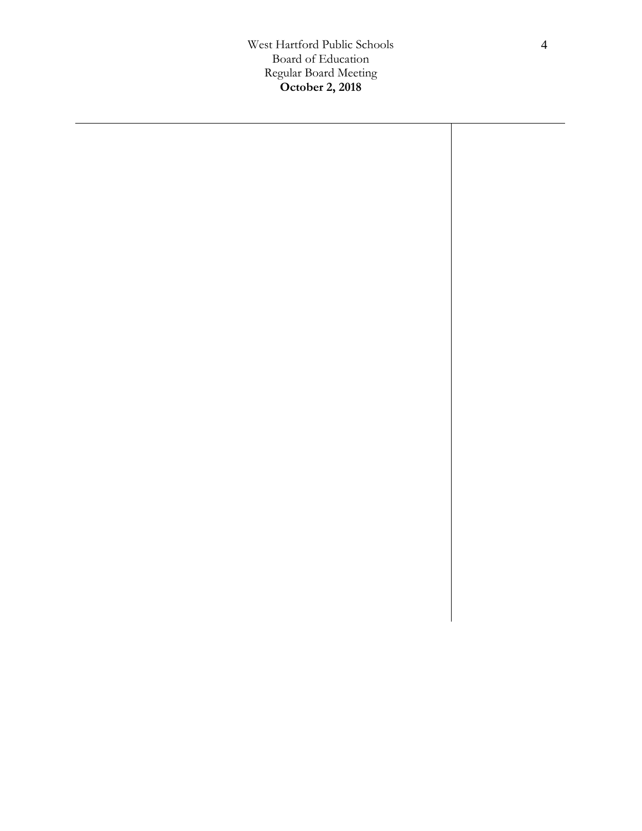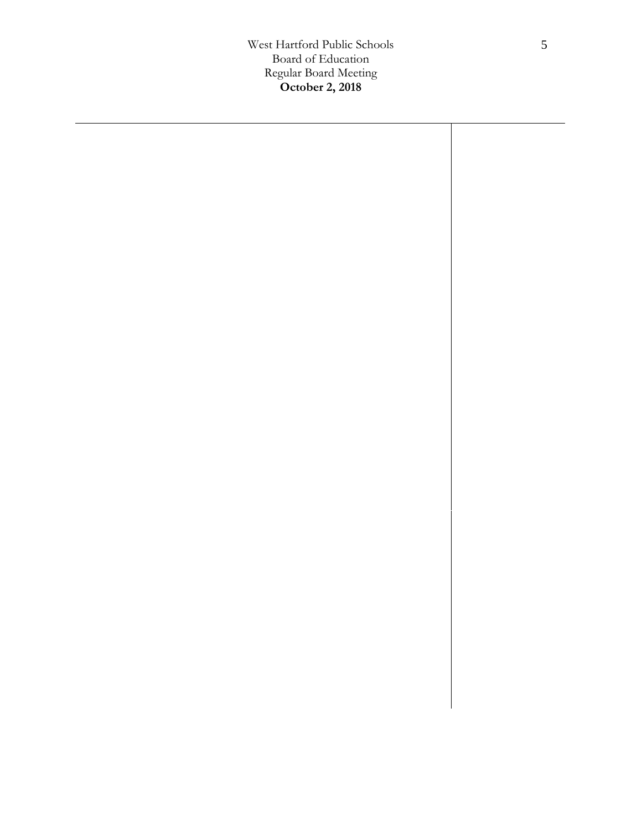